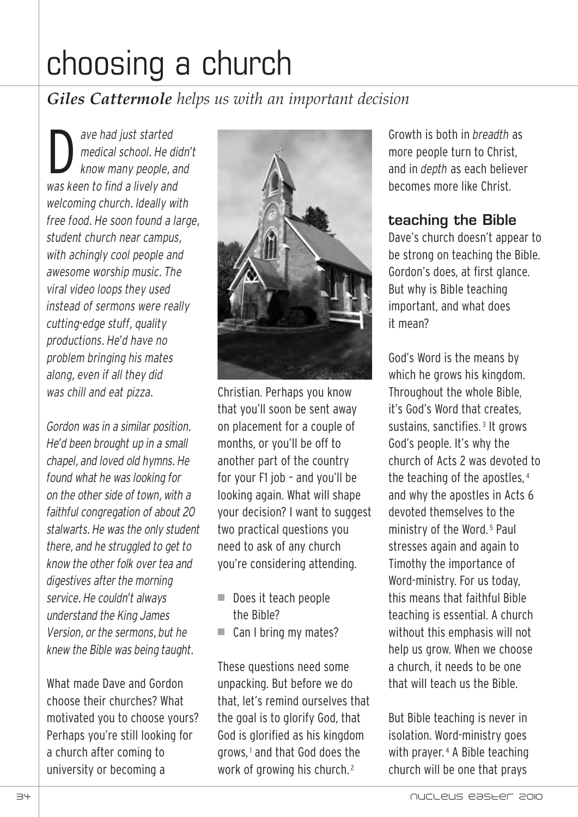# choosing a church

## *Giles Cattermole helps us with an important decision*

D *ave had just started medical school. He didn't know many people, and was keen to find a lively and welcoming church. Ideally with free food. He soon found a large, student church near campus, with achingly cool people and awesome worship music. The viral video loops they used instead of sermons were really cutting-edge stuff, quality productions. He'd have no problem bringing his mates along, even if all they did was chill and eat pizza.*

*Gordon was in a similar position. He'd been brought up in a small chapel, and loved old hymns. He found what he was looking for on the other side of town, with a faithful congregation of about 20 stalwarts. He was the only student there, and he struggled to get to know the other folk over tea and digestives after the morning service. He couldn't always understand the King James Version, or the sermons, but he knew the Bible was being taught.*

What made Dave and Gordon choose their churches? What motivated you to choose yours? Perhaps you're still looking for a church after coming to university or becoming a



Christian. Perhaps you know that you'll soon be sent away on placement for a couple of months, or you'll be off to another part of the country for your F1 job – and you'll be looking again. What will shape your decision? I want to suggest two practical questions you need to ask of any church you're considering attending.

- Does it teach people the Bible?
- $\blacksquare$  Can I bring my mates?

These questions need some unpacking. But before we do that, let's remind ourselves that the goal is to glorify God, that God is glorified as his kingdom grows, <sup>1</sup> and that God does the work of growing his church.<sup>2</sup>

Growth is both in *breadth* as more people turn to Christ, and in *depth* as each believer becomes more like Christ.

### **teaching the Bible**

Dave's church doesn't appear to be strong on teaching the Bible. Gordon's does, at first glance. But why is Bible teaching important, and what does it mean?

God's Word is the means by which he grows his kingdom. Throughout the whole Bible, it's God's Word that creates, sustains, sanctifies.<sup>3</sup> It grows God's people. It's why the church of Acts 2 was devoted to the teaching of the apostles, <sup>4</sup> and why the apostles in Acts 6 devoted themselves to the ministry of the Word. <sup>5</sup> Paul stresses again and again to Timothy the importance of Word-ministry. For us today, this means that faithful Bible teaching is essential. A church without this emphasis will not help us grow. When we choose a church, it needs to be one that will teach us the Bible.

But Bible teaching is never in isolation. Word-ministry goes with prayer. <sup>4</sup> A Bible teaching church will be one that prays